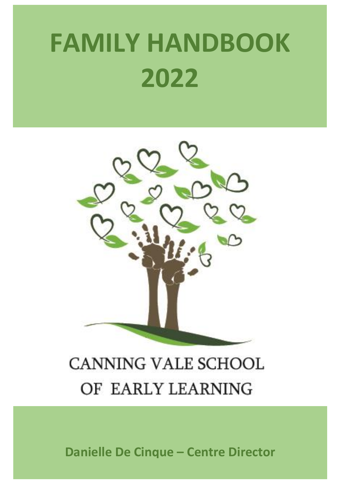# **FAMILY HANDBOOK 2022**



# **CANNING VALE SCHOOL** OF EARLY LEARNING

**Danielle De Cinque – Centre Director**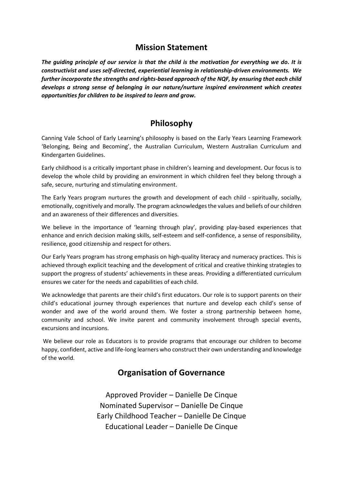# **Mission Statement**

*The guiding principle of our service is that the child is the motivation for everything we do. It is constructivist and uses self-directed, experiential learning in relationship-driven environments. We further incorporate the strengths and rights-based approach of the NQF, by ensuring that each child develops a strong sense of belonging in our nature/nurture inspired environment which creates opportunities for children to be inspired to learn and grow.*

# **Philosophy**

Canning Vale School of Early Learning's philosophy is based on the Early Years Learning Framework 'Belonging, Being and Becoming', the Australian Curriculum, Western Australian Curriculum and Kindergarten Guidelines.

Early childhood is a critically important phase in children's learning and development. Our focus is to develop the whole child by providing an environment in which children feel they belong through a safe, secure, nurturing and stimulating environment.

The Early Years program nurtures the growth and development of each child - spiritually, socially, emotionally, cognitively and morally. The program acknowledges the values and beliefs of our children and an awareness of their differences and diversities.

We believe in the importance of 'learning through play', providing play-based experiences that enhance and enrich decision making skills, self-esteem and self-confidence, a sense of responsibility, resilience, good citizenship and respect for others.

Our Early Years program has strong emphasis on high-quality literacy and numeracy practices. This is achieved through explicit teaching and the development of critical and creative thinking strategies to support the progress of students' achievements in these areas. Providing a differentiated curriculum ensures we cater for the needs and capabilities of each child.

We acknowledge that parents are their child's first educators. Our role is to support parents on their child's educational journey through experiences that nurture and develop each child's sense of wonder and awe of the world around them. We foster a strong partnership between home, community and school. We invite parent and community involvement through special events, excursions and incursions.

We believe our role as Educators is to provide programs that encourage our children to become happy, confident, active and life-long learners who construct their own understanding and knowledge of the world.

# **Organisation of Governance**

Approved Provider – Danielle De Cinque Nominated Supervisor – Danielle De Cinque Early Childhood Teacher – Danielle De Cinque Educational Leader – Danielle De Cinque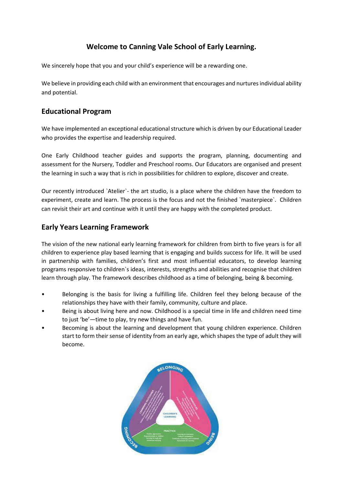# **Welcome to Canning Vale School of Early Learning.**

We sincerely hope that you and your child's experience will be a rewarding one.

We believe in providing each child with an environment that encourages and nurtures individual ability and potential.

#### **Educational Program**

We have implemented an exceptional educational structure which is driven by our Educational Leader who provides the expertise and leadership required.

One Early Childhood teacher guides and supports the program, planning, documenting and assessment for the Nursery, Toddler and Preschool rooms. Our Educators are organised and present the learning in such a way that is rich in possibilities for children to explore, discover and create.

Our recently introduced `Atelier`- the art studio, is a place where the children have the freedom to experiment, create and learn. The process is the focus and not the finished `masterpiece`. Children can revisit their art and continue with it until they are happy with the completed product.

# **Early Years Learning Framework**

The vision of the new national early learning framework for children from birth to five years is for all children to experience play based learning that is engaging and builds success for life. It will be used in partnership with families, children's first and most influential educators, to develop learning programs responsive to children`s ideas, interests, strengths and abilities and recognise that children learn through play. The framework describes childhood as a time of belonging, being & becoming.

- Belonging is the basis for living a fulfilling life. Children feel they belong because of the relationships they have with their family, community, culture and place.
- Being is about living here and now. Childhood is a special time in life and children need time to just 'be'—time to play, try new things and have fun.
- Becoming is about the learning and development that young children experience. Children start to form their sense of identity from an early age, which shapes the type of adult they will become.

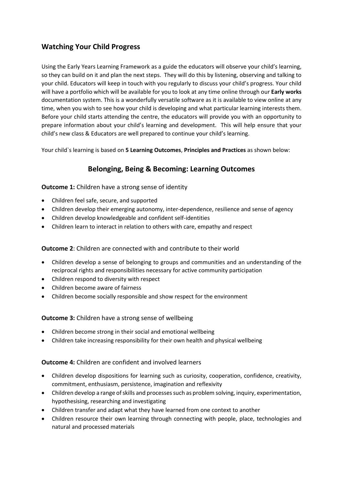# **Watching Your Child Progress**

Using the Early Years Learning Framework as a guide the educators will observe your child's learning, so they can build on it and plan the next steps. They will do this by listening, observing and talking to your child. Educators will keep in touch with you regularly to discuss your child's progress. Your child will have a portfolio which will be available for you to look at any time online through our **Early works** documentation system. This is a wonderfully versatile software as it is available to view online at any time, when you wish to see how your child is developing and what particular learning interests them. Before your child starts attending the centre, the educators will provide you with an opportunity to prepare information about your child's learning and development. This will help ensure that your child's new class & Educators are well prepared to continue your child's learning.

Your child`s learning is based on **5 Learning Outcomes**, **Principles and Practices** as shown below:

# **Belonging, Being & Becoming: Learning Outcomes**

#### **Outcome 1:** Children have a strong sense of identity

- Children feel safe, secure, and supported
- Children develop their emerging autonomy, inter-dependence, resilience and sense of agency
- Children develop knowledgeable and confident self-identities
- Children learn to interact in relation to others with care, empathy and respect

#### **Outcome 2**: Children are connected with and contribute to their world

- Children develop a sense of belonging to groups and communities and an understanding of the reciprocal rights and responsibilities necessary for active community participation
- Children respond to diversity with respect
- Children become aware of fairness
- Children become socially responsible and show respect for the environment

#### **Outcome 3:** Children have a strong sense of wellbeing

- Children become strong in their social and emotional wellbeing
- Children take increasing responsibility for their own health and physical wellbeing

#### **Outcome 4:** Children are confident and involved learners

- Children develop dispositions for learning such as curiosity, cooperation, confidence, creativity, commitment, enthusiasm, persistence, imagination and reflexivity
- Children develop a range of skills and processes such as problem solving, inquiry, experimentation, hypothesising, researching and investigating
- Children transfer and adapt what they have learned from one context to another
- Children resource their own learning through connecting with people, place, technologies and natural and processed materials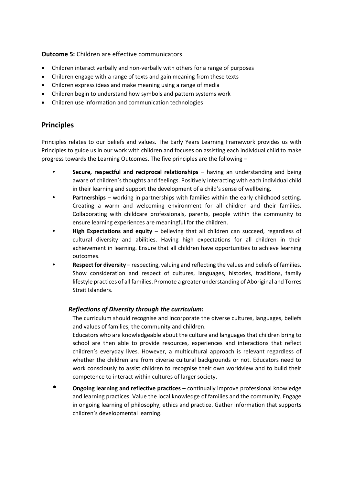**Outcome 5:** Children are effective communicators

- Children interact verbally and non-verbally with others for a range of purposes
- Children engage with a range of texts and gain meaning from these texts
- Children express ideas and make meaning using a range of media
- Children begin to understand how symbols and pattern systems work
- Children use information and communication technologies

# **Principles**

Principles relates to our beliefs and values. The Early Years Learning Framework provides us with Principles to guide us in our work with children and focuses on assisting each individual child to make progress towards the Learning Outcomes. The five principles are the following –

- **Secure, respectful and reciprocal relationships** having an understanding and being aware of children's thoughts and feelings. Positively interacting with each individual child in their learning and support the development of a child's sense of wellbeing.
- **Partnerships** working in partnerships with families within the early childhood setting. Creating a warm and welcoming environment for all children and their families. Collaborating with childcare professionals, parents, people within the community to ensure learning experiences are meaningful for the children.
- **High Expectations and equity** believing that all children can succeed, regardless of cultural diversity and abilities. Having high expectations for all children in their achievement in learning. Ensure that all children have opportunities to achieve learning outcomes.
- **Respect for diversity** respecting, valuing and reflecting the values and beliefs of families. Show consideration and respect of cultures, languages, histories, traditions, family lifestyle practices of all families. Promote a greater understanding of Aboriginal and Torres Strait Islanders.

#### *Reflections of Diversity through the curriculum***:**

The curriculum should recognise and incorporate the diverse cultures, languages, beliefs and values of families, the community and children.

Educators who are knowledgeable about the culture and languages that children bring to school are then able to provide resources, experiences and interactions that reflect children's everyday lives. However, a multicultural approach is relevant regardless of whether the children are from diverse cultural backgrounds or not. Educators need to work consciously to assist children to recognise their own worldview and to build their competence to interact within cultures of larger society.

• **Ongoing learning and reflective practices** – continually improve professional knowledge and learning practices. Value the local knowledge of families and the community. Engage in ongoing learning of philosophy, ethics and practice. Gather information that supports children's developmental learning.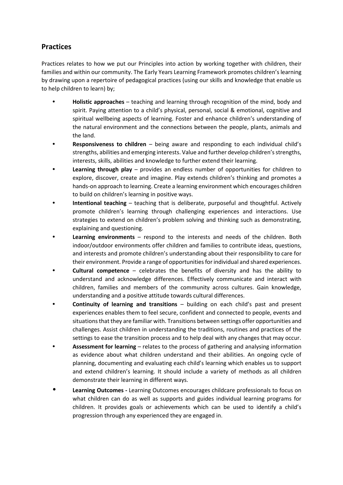# **Practices**

Practices relates to how we put our Principles into action by working together with children, their families and within our community. The Early Years Learning Framework promotes children's learning by drawing upon a repertoire of pedagogical practices (using our skills and knowledge that enable us to help children to learn) by;

- **Holistic approaches** teaching and learning through recognition of the mind, body and spirit. Paying attention to a child's physical, personal, social & emotional, cognitive and spiritual wellbeing aspects of learning. Foster and enhance children's understanding of the natural environment and the connections between the people, plants, animals and the land.
- **Responsiveness to children** being aware and responding to each individual child's strengths, abilities and emerging interests. Value and further develop children's strengths, interests, skills, abilities and knowledge to further extend their learning.
- **Learning through play** provides an endless number of opportunities for children to explore, discover, create and imagine. Play extends children's thinking and promotes a hands-on approach to learning. Create a learning environment which encourages children to build on children's learning in positive ways.
- **Intentional teaching** teaching that is deliberate, purposeful and thoughtful. Actively promote children's learning through challenging experiences and interactions. Use strategies to extend on children's problem solving and thinking such as demonstrating, explaining and questioning.
- **Learning environments** respond to the interests and needs of the children. Both indoor/outdoor environments offer children and families to contribute ideas, questions, and interests and promote children's understanding about their responsibility to care for their environment. Provide a range of opportunities for individual and shared experiences.
- **Cultural competence** celebrates the benefits of diversity and has the ability to understand and acknowledge differences. Effectively communicate and interact with children, families and members of the community across cultures. Gain knowledge, understanding and a positive attitude towards cultural differences.
- **Continuity of learning and transitions** building on each child's past and present experiences enables them to feel secure, confident and connected to people, events and situations that they are familiar with. Transitions between settings offer opportunities and challenges. Assist children in understanding the traditions, routines and practices of the settings to ease the transition process and to help deal with any changes that may occur.
- **Assessment for learning** relates to the process of gathering and analysing information as evidence about what children understand and their abilities. An ongoing cycle of planning, documenting and evaluating each child's learning which enables us to support and extend children's learning. It should include a variety of methods as all children demonstrate their learning in different ways.
- **Learning Outcomes -** Learning Outcomes encourages childcare professionals to focus on what children can do as well as supports and guides individual learning programs for children. It provides goals or achievements which can be used to identify a child's progression through any experienced they are engaged in.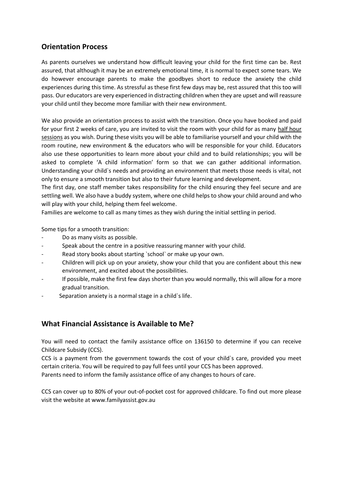# **Orientation Process**

As parents ourselves we understand how difficult leaving your child for the first time can be. Rest assured, that although it may be an extremely emotional time, it is normal to expect some tears. We do however encourage parents to make the goodbyes short to reduce the anxiety the child experiences during this time. As stressful as these first few days may be, rest assured that this too will pass. Our educators are very experienced in distracting children when they are upset and will reassure your child until they become more familiar with their new environment.

We also provide an orientation process to assist with the transition. Once you have booked and paid for your first 2 weeks of care, you are invited to visit the room with your child for as many half hour sessions as you wish. During these visits you will be able to familiarise yourself and your child with the room routine, new environment & the educators who will be responsible for your child. Educators also use these opportunities to learn more about your child and to build relationships; you will be asked to complete 'A child information' form so that we can gather additional information. Understanding your child`s needs and providing an environment that meets those needs is vital, not only to ensure a smooth transition but also to their future learning and development.

The first day, one staff member takes responsibility for the child ensuring they feel secure and are settling well. We also have a buddy system, where one child helps to show your child around and who will play with your child, helping them feel welcome.

Families are welcome to call as many times as they wish during the initial settling in period.

Some tips for a smooth transition:

- Do as many visits as possible.
- Speak about the centre in a positive reassuring manner with your child.
- Read story books about starting 'school' or make up your own.
- Children will pick up on your anxiety, show your child that you are confident about this new environment, and excited about the possibilities.
- If possible, make the first few days shorter than you would normally, this will allow for a more gradual transition.
- Separation anxiety is a normal stage in a child`s life.

#### **What Financial Assistance is Available to Me?**

You will need to contact the family assistance office on 136150 to determine if you can receive Childcare Subsidy (CCS).

CCS is a payment from the government towards the cost of your child`s care, provided you meet certain criteria. You will be required to pay full fees until your CCS has been approved.

Parents need to inform the family assistance office of any changes to hours of care.

CCS can cover up to 80% of your out-of-pocket cost for approved childcare. To find out more please visit the website at www.familyassist.gov.au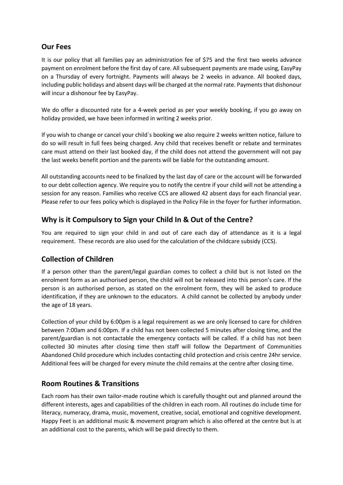#### **Our Fees**

It is our policy that all families pay an administration fee of \$75 and the first two weeks advance payment on enrolment before the first day of care. All subsequent payments are made using, EasyPay on a Thursday of every fortnight. Payments will always be 2 weeks in advance. All booked days, including public holidays and absent days will be charged at the normal rate. Payments that dishonour will incur a dishonour fee by EasyPay.

We do offer a discounted rate for a 4-week period as per your weekly booking, if you go away on holiday provided, we have been informed in writing 2 weeks prior.

If you wish to change or cancel your child`s booking we also require 2 weeks written notice, failure to do so will result in full fees being charged. Any child that receives benefit or rebate and terminates care must attend on their last booked day, if the child does not attend the government will not pay the last weeks benefit portion and the parents will be liable for the outstanding amount.

All outstanding accounts need to be finalized by the last day of care or the account will be forwarded to our debt collection agency. We require you to notify the centre if your child will not be attending a session for any reason. Families who receive CCS are allowed 42 absent days for each financial year. Please refer to our fees policy which is displayed in the Policy File in the foyer for further information.

# **Why is it Compulsory to Sign your Child In & Out of the Centre?**

You are required to sign your child in and out of care each day of attendance as it is a legal requirement. These records are also used for the calculation of the childcare subsidy (CCS).

# **Collection of Children**

If a person other than the parent/legal guardian comes to collect a child but is not listed on the enrolment form as an authorised person, the child will not be released into this person's care. If the person is an authorised person, as stated on the enrolment form, they will be asked to produce identification, if they are unknown to the educators. A child cannot be collected by anybody under the age of 18 years.

Collection of your child by 6:00pm is a legal requirement as we are only licensed to care for children between 7:00am and 6:00pm. If a child has not been collected 5 minutes after closing time, and the parent/guardian is not contactable the emergency contacts will be called. If a child has not been collected 30 minutes after closing time then staff will follow the Department of Communities Abandoned Child procedure which includes contacting child protection and crisis centre 24hr service. Additional fees will be charged for every minute the child remains at the centre after closing time.

# **Room Routines & Transitions**

Each room has their own tailor-made routine which is carefully thought out and planned around the different interests, ages and capabilities of the children in each room. All routines do include time for literacy, numeracy, drama, music, movement, creative, social, emotional and cognitive development. Happy Feet is an additional music & movement program which is also offered at the centre but is at an additional cost to the parents, which will be paid directly to them.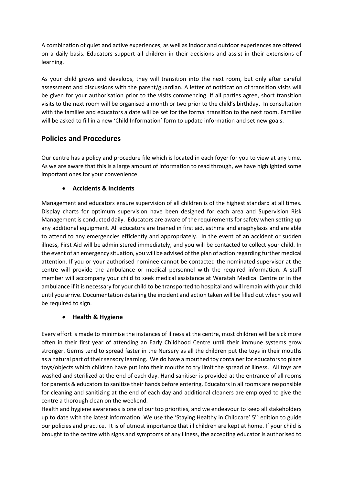A combination of quiet and active experiences, as well as indoor and outdoor experiences are offered on a daily basis. Educators support all children in their decisions and assist in their extensions of learning.

As your child grows and develops, they will transition into the next room, but only after careful assessment and discussions with the parent/guardian. A letter of notification of transition visits will be given for your authorisation prior to the visits commencing. If all parties agree, short transition visits to the next room will be organised a month or two prior to the child's birthday. In consultation with the families and educators a date will be set for the formal transition to the next room. Families will be asked to fill in a new 'Child Information' form to update information and set new goals.

# **Policies and Procedures**

Our centre has a policy and procedure file which is located in each foyer for you to view at any time. As we are aware that this is a large amount of information to read through, we have highlighted some important ones for your convenience.

#### • **Accidents & Incidents**

Management and educators ensure supervision of all children is of the highest standard at all times. Display charts for optimum supervision have been designed for each area and Supervision Risk Management is conducted daily. Educators are aware of the requirements for safety when setting up any additional equipment. All educators are trained in first aid, asthma and anaphylaxis and are able to attend to any emergencies efficiently and appropriately. In the event of an accident or sudden illness, First Aid will be administered immediately, and you will be contacted to collect your child. In the event of an emergency situation, you will be advised of the plan of action regarding further medical attention. If you or your authorised nominee cannot be contacted the nominated supervisor at the centre will provide the ambulance or medical personnel with the required information. A staff member will accompany your child to seek medical assistance at Waratah Medical Centre or in the ambulance if it is necessary for your child to be transported to hospital and will remain with your child until you arrive. Documentation detailing the incident and action taken will be filled out which you will be required to sign.

#### • **Health & Hygiene**

Every effort is made to minimise the instances of illness at the centre, most children will be sick more often in their first year of attending an Early Childhood Centre until their immune systems grow stronger. Germs tend to spread faster in the Nursery as all the children put the toys in their mouths as a natural part of their sensory learning. We do have a mouthed toy container for educators to place toys/objects which children have put into their mouths to try limit the spread of illness. All toys are washed and sterilized at the end of each day. Hand sanitiser is provided at the entrance of all rooms for parents & educators to sanitize their hands before entering. Educators in all rooms are responsible for cleaning and sanitizing at the end of each day and additional cleaners are employed to give the centre a thorough clean on the weekend.

Health and hygiene awareness is one of our top priorities, and we endeavour to keep all stakeholders up to date with the latest information. We use the 'Staying Healthy in Childcare' 5<sup>th</sup> edition to guide our policies and practice. It is of utmost importance that ill children are kept at home. If your child is brought to the centre with signs and symptoms of any illness, the accepting educator is authorised to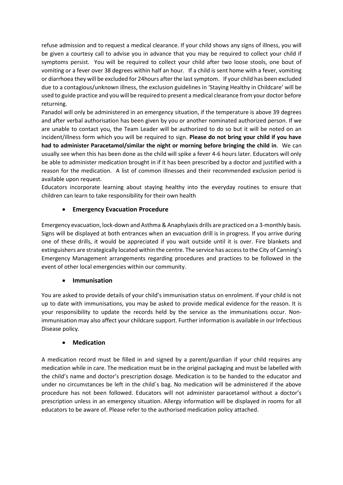refuse admission and to request a medical clearance. If your child shows any signs of illness, you will be given a courtesy call to advise you in advance that you may be required to collect your child if symptoms persist. You will be required to collect your child after two loose stools, one bout of vomiting or a fever over 38 degrees within half an hour. If a child is sent home with a fever, vomiting or diarrhoea they will be excluded for 24hours after the last symptom. If your child has been excluded due to a contagious/unknown illness, the exclusion guidelines in 'Staying Healthy in Childcare' will be used to guide practice and you will be required to present a medical clearance from your doctor before returning.

Panadol will only be administered in an emergency situation, if the temperature is above 39 degrees and after verbal authorisation has been given by you or another nominated authorized person. If we are unable to contact you, the Team Leader will be authorized to do so but it will be noted on an incident/illness form which you will be required to sign. **Please do not bring your child if you have had to administer Paracetamol/similar the night or morning before bringing the child in**. We can usually see when this has been done as the child will spike a fever 4-6 hours later. Educators will only be able to administer medication brought in if it has been prescribed by a doctor and justified with a reason for the medication. A list of common illnesses and their recommended exclusion period is available upon request.

Educators incorporate learning about staying healthy into the everyday routines to ensure that children can learn to take responsibility for their own health

#### • **Emergency Evacuation Procedure**

Emergency evacuation, lock-down and Asthma & Anaphylaxis drills are practiced on a 3-monthly basis. Signs will be displayed at both entrances when an evacuation drill is in progress. If you arrive during one of these drills, it would be appreciated if you wait outside until it is over. Fire blankets and extinguishers are strategically located within the centre. The service has access to the City of Canning's Emergency Management arrangements regarding procedures and practices to be followed in the event of other local emergencies within our community.

#### • **Immunisation**

You are asked to provide details of your child's immunisation status on enrolment. If your child is not up to date with immunisations, you may be asked to provide medical evidence for the reason. It is your responsibility to update the records held by the service as the immunisations occur. Nonimmunisation may also affect your childcare support. Further information is available in our Infectious Disease policy.

#### • **Medication**

A medication record must be filled in and signed by a parent/guardian if your child requires any medication while in care. The medication must be in the original packaging and must be labelled with the child's name and doctor's prescription dosage. Medication is to be handed to the educator and under no circumstances be left in the child`s bag. No medication will be administered if the above procedure has not been followed. Educators will not administer paracetamol without a doctor's prescription unless in an emergency situation. Allergy information will be displayed in rooms for all educators to be aware of. Please refer to the authorised medication policy attached.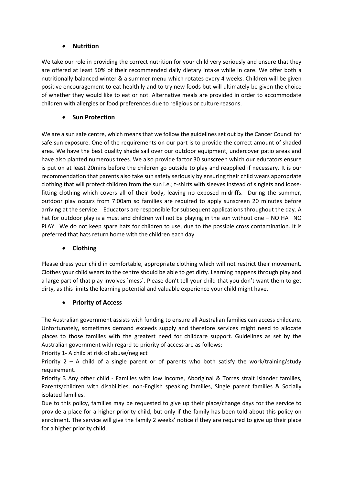#### • **Nutrition**

We take our role in providing the correct nutrition for your child very seriously and ensure that they are offered at least 50% of their recommended daily dietary intake while in care. We offer both a nutritionally balanced winter & a summer menu which rotates every 4 weeks. Children will be given positive encouragement to eat healthily and to try new foods but will ultimately be given the choice of whether they would like to eat or not. Alternative meals are provided in order to accommodate children with allergies or food preferences due to religious or culture reasons.

#### • **Sun Protection**

We are a sun safe centre, which means that we follow the guidelines set out by the Cancer Council for safe sun exposure. One of the requirements on our part is to provide the correct amount of shaded area. We have the best quality shade sail over our outdoor equipment, undercover patio areas and have also planted numerous trees. We also provide factor 30 sunscreen which our educators ensure is put on at least 20mins before the children go outside to play and reapplied if necessary. It is our recommendation that parents also take sun safety seriously by ensuring their child wears appropriate clothing that will protect children from the sun i.e.; t-shirts with sleeves instead of singlets and loosefitting clothing which covers all of their body, leaving no exposed midriffs. During the summer, outdoor play occurs from 7:00am so families are required to apply sunscreen 20 minutes before arriving at the service. Educators are responsible for subsequent applications throughout the day. A hat for outdoor play is a must and children will not be playing in the sun without one – NO HAT NO PLAY. We do not keep spare hats for children to use, due to the possible cross contamination. It is preferred that hats return home with the children each day.

#### • **Clothing**

Please dress your child in comfortable, appropriate clothing which will not restrict their movement. Clothes your child wears to the centre should be able to get dirty. Learning happens through play and a large part of that play involves `mess`. Please don't tell your child that you don't want them to get dirty, as this limits the learning potential and valuable experience your child might have.

#### • **Priority of Access**

The Australian government assists with funding to ensure all Australian families can access childcare. Unfortunately, sometimes demand exceeds supply and therefore services might need to allocate places to those families with the greatest need for childcare support. Guidelines as set by the Australian government with regard to priority of access are as follows: -

Priority 1- A child at risk of abuse/neglect

Priority  $2 - A$  child of a single parent or of parents who both satisfy the work/training/study requirement.

Priority 3 Any other child - Families with low income, Aboriginal & Torres strait islander families, Parents/children with disabilities, non-English speaking families, Single parent families & Socially isolated families.

Due to this policy, families may be requested to give up their place/change days for the service to provide a place for a higher priority child, but only if the family has been told about this policy on enrolment. The service will give the family 2 weeks' notice if they are required to give up their place for a higher priority child.